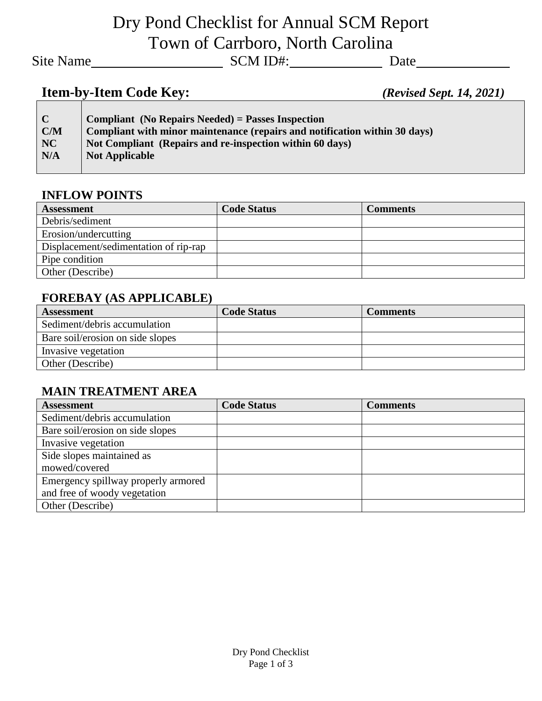Dry Pond Checklist for Annual SCM Report Town of Carrboro, North Carolina

Site Name
Site Name
Site Name
SCM ID#:
SCM ID#:
SCM ID#:
SCM ID#:
SCM ID#:
SCM ID#:
SCM ID#:
SCM ID#:
SCM ID#:
SCM ID#:
SCM ID#:
SCM ID#:
SCM ID#:
SCM ID#:
SCM ID#:
SCM ID#:
SCM ID#:
SCM ID#:
SCM ID#:
SCM ID#:
SCM ID#:
SCM

# **Item-by-Item Code Key:** *(Revised Sept. 14, 2021)*

| $\mathbf C$ | <b>Compliant</b> (No Repairs Needed) = Passes Inspection                   |
|-------------|----------------------------------------------------------------------------|
| C/M         | Compliant with minor maintenance (repairs and notification within 30 days) |
| NC          | Not Compliant (Repairs and re-inspection within 60 days)                   |
| N/A         | <b>Not Applicable</b>                                                      |
|             |                                                                            |

#### **INFLOW POINTS**

| <b>Assessment</b>                     | <b>Code Status</b> | <b>Comments</b> |
|---------------------------------------|--------------------|-----------------|
| Debris/sediment                       |                    |                 |
| Erosion/undercutting                  |                    |                 |
| Displacement/sedimentation of rip-rap |                    |                 |
| Pipe condition                        |                    |                 |
| Other (Describe)                      |                    |                 |

#### **FOREBAY (AS APPLICABLE)**

| <b>Assessment</b>                | <b>Code Status</b> | Comments |
|----------------------------------|--------------------|----------|
| Sediment/debris accumulation     |                    |          |
| Bare soil/erosion on side slopes |                    |          |
| Invasive vegetation              |                    |          |
| Other (Describe)                 |                    |          |

### **MAIN TREATMENT AREA**

| <b>Assessment</b>                   | <b>Code Status</b> | <b>Comments</b> |
|-------------------------------------|--------------------|-----------------|
| Sediment/debris accumulation        |                    |                 |
| Bare soil/erosion on side slopes    |                    |                 |
| Invasive vegetation                 |                    |                 |
| Side slopes maintained as           |                    |                 |
| mowed/covered                       |                    |                 |
| Emergency spillway properly armored |                    |                 |
| and free of woody vegetation        |                    |                 |
| Other (Describe)                    |                    |                 |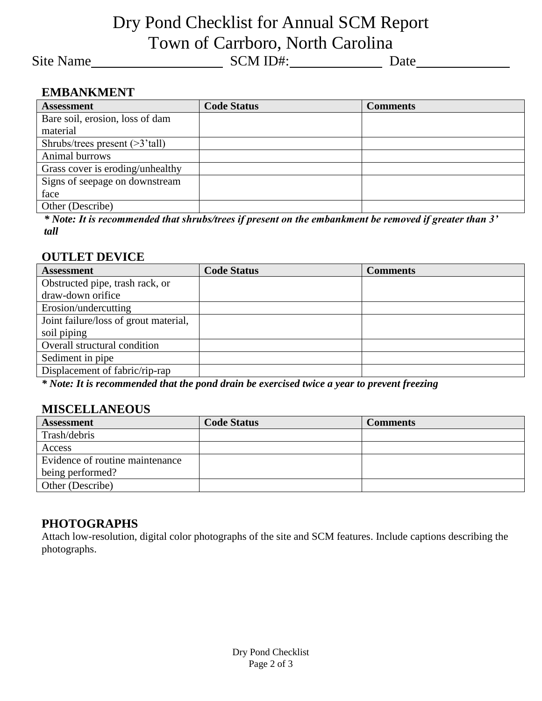# Dry Pond Checklist for Annual SCM Report Town of Carrboro, North Carolina

Site Name
Site Name
Site Name
SCM ID#:
SCM ID#:
SCM ID#:
SCM ID#:
SCM ID#:
SCM ID#:
SCM ID#:
SCM ID#:
SCM ID#:
SCM ID#:
SCM ID#:
SCM ID#:
SCM ID#:
SCM ID#:
SCM ID#:
SCM ID#:
SCM ID#:
SCM ID#:
SCM ID#:
SCM ID#:
SCM ID#:
SCM

#### **EMBANKMENT**

| <b>Assessment</b>                 | <b>Code Status</b> | <b>Comments</b> |  |
|-----------------------------------|--------------------|-----------------|--|
| Bare soil, erosion, loss of dam   |                    |                 |  |
| material                          |                    |                 |  |
| Shrubs/trees present $($ >3'tall) |                    |                 |  |
| Animal burrows                    |                    |                 |  |
| Grass cover is eroding/unhealthy  |                    |                 |  |
| Signs of seepage on downstream    |                    |                 |  |
| face                              |                    |                 |  |
| Other (Describe)                  |                    |                 |  |

*\* Note: It is recommended that shrubs/trees if present on the embankment be removed if greater than 3' tall*

#### **OUTLET DEVICE**

| <b>Code Status</b> | <b>Comments</b> |
|--------------------|-----------------|
|                    |                 |
|                    |                 |
|                    |                 |
|                    |                 |
|                    |                 |
|                    |                 |
|                    |                 |
|                    |                 |
|                    |                 |

*\* Note: It is recommended that the pond drain be exercised twice a year to prevent freezing*

#### **MISCELLANEOUS**

| <b>Assessment</b>               | <b>Code Status</b> | Comments |
|---------------------------------|--------------------|----------|
| Trash/debris                    |                    |          |
| Access                          |                    |          |
| Evidence of routine maintenance |                    |          |
| being performed?                |                    |          |
| Other (Describe)                |                    |          |

#### **PHOTOGRAPHS**

Attach low-resolution, digital color photographs of the site and SCM features. Include captions describing the photographs.